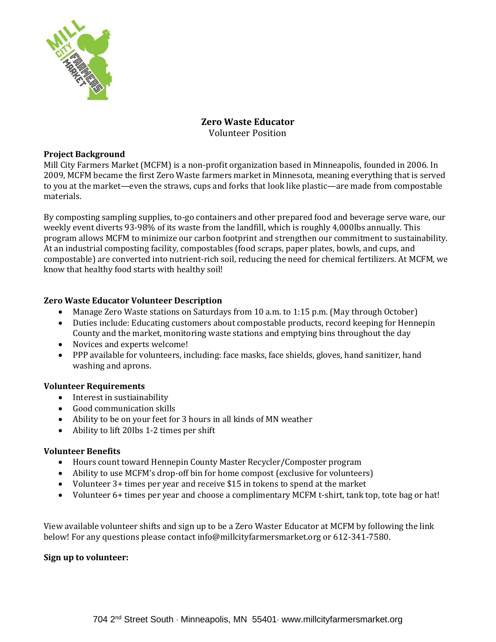

# **Zero Waste Educator** Volunteer Position

## **Project Background**

Mill City Farmers Market (MCFM) is a non‐profit organization based in Minneapolis, founded in 2006. In 2009, MCFM became the first Zero Waste farmers market in Minnesota, meaning everything that is served to you at the market—even the straws, cups and forks that look like plastic—are made from compostable materials.

By composting sampling supplies, to-go containers and other prepared food and beverage serve ware, our weekly event diverts 93-98% of its waste from the landfill, which is roughly 4,000lbs annually. This program allows MCFM to minimize our carbon footprint and strengthen our commitment to sustainability. At an industrial composting facility, compostables (food scraps, paper plates, bowls, and cups, and compostable) are converted into nutrient-rich soil, reducing the need for chemical fertilizers. At MCFM, we know that healthy food starts with healthy soil!

### **Zero Waste Educator Volunteer Description**

- Manage Zero Waste stations on Saturdays from 10 a.m. to 1:15 p.m. (May through October)
- Duties include: Educating customers about compostable products, record keeping for Hennepin County and the market, monitoring waste stations and emptying bins throughout the day
- Novices and experts welcome!
- PPP available for volunteers, including: face masks, face shields, gloves, hand sanitizer, hand washing and aprons.

#### **Volunteer Requirements**

- Interest in sustiainability
- Good communication skills
- Ability to be on your feet for 3 hours in all kinds of MN weather
- Ability to lift 20lbs 1-2 times per shift

#### **Volunteer Benefits**

- Hours count towar[d Hennepin County Master Recycler/Composter](https://www.hennepin.us/residents/recycling-hazardous-waste/become-master-recycler) program
- Ability to use MCFM's drop-off bin for home compost (exclusive for volunteers)
- Volunteer 3+ times per year and receive \$15 in tokens to spend at the market
- Volunteer 6+ times per year and choose a complimentary MCFM t-shirt, tank top, tote bag or hat!

View available volunteer shifts and sign up to be a Zero Waster Educator at MCFM by following the link below! For any questions please contact info@millcityfarmersmarket.org or 612-341-7580.

#### **Sign up to volunteer:**